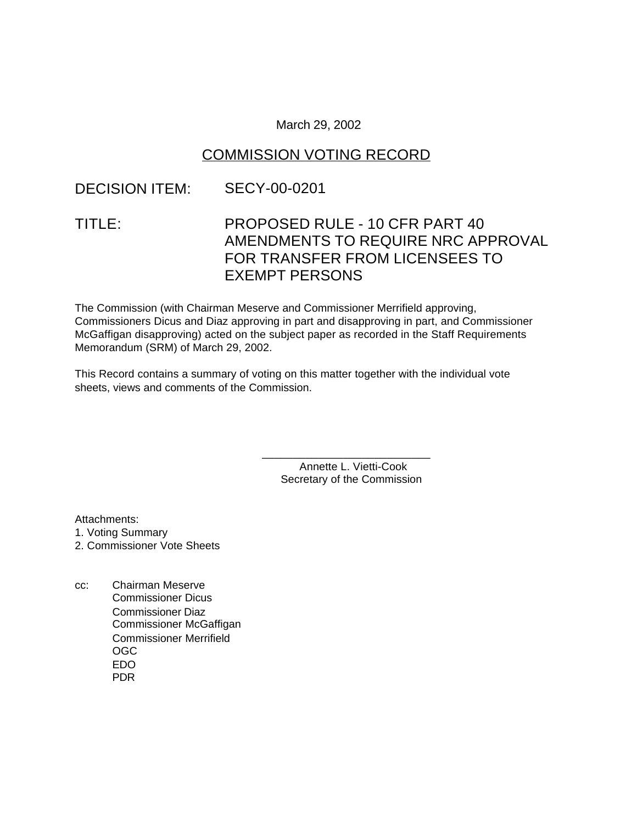## March 29, 2002

# COMMISSION VOTING RECORD

# DECISION ITEM: SECY-00-0201

# TITLE: PROPOSED RULE - 10 CFR PART 40 AMENDMENTS TO REQUIRE NRC APPROVAL FOR TRANSFER FROM LICENSEES TO EXEMPT PERSONS

The Commission (with Chairman Meserve and Commissioner Merrifield approving, Commissioners Dicus and Diaz approving in part and disapproving in part, and Commissioner McGaffigan disapproving) acted on the subject paper as recorded in the Staff Requirements Memorandum (SRM) of March 29, 2002.

This Record contains a summary of voting on this matter together with the individual vote sheets, views and comments of the Commission.

> Annette L. Vietti-Cook Secretary of the Commission

\_\_\_\_\_\_\_\_\_\_\_\_\_\_\_\_\_\_\_\_\_\_\_\_\_\_\_

Attachments: 1. Voting Summary 2. Commissioner Vote Sheets

cc: Chairman Meserve Commissioner Dicus Commissioner Diaz Commissioner McGaffigan Commissioner Merrifield OGC EDO PDR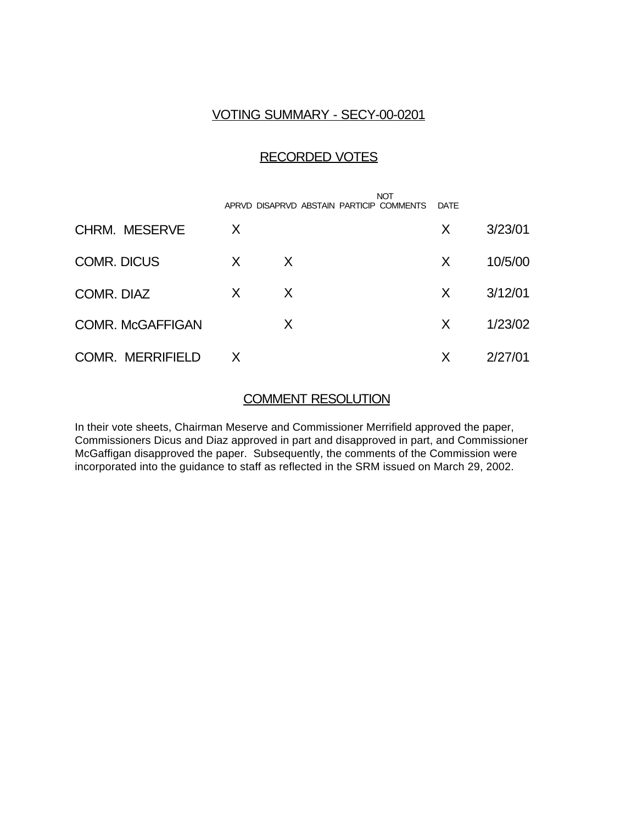## VOTING SUMMARY - SECY-00-0201

## RECORDED VOTES

|                         |          | APRVD DISAPRVD ABSTAIN PARTICIP COMMENTS | <b>NOT</b> | DATE |         |
|-------------------------|----------|------------------------------------------|------------|------|---------|
| CHRM. MESERVE           | X        |                                          |            | X    | 3/23/01 |
| <b>COMR. DICUS</b>      | X        | X                                        |            | X    | 10/5/00 |
| COMR. DIAZ              | X        | X                                        |            | X    | 3/12/01 |
| <b>COMR. McGAFFIGAN</b> |          | X                                        |            | X.   | 1/23/02 |
| <b>COMR. MERRIFIELD</b> | $\times$ |                                          |            | X    | 2/27/01 |

## COMMENT RESOLUTION

In their vote sheets, Chairman Meserve and Commissioner Merrifield approved the paper, Commissioners Dicus and Diaz approved in part and disapproved in part, and Commissioner McGaffigan disapproved the paper. Subsequently, the comments of the Commission were incorporated into the guidance to staff as reflected in the SRM issued on March 29, 2002.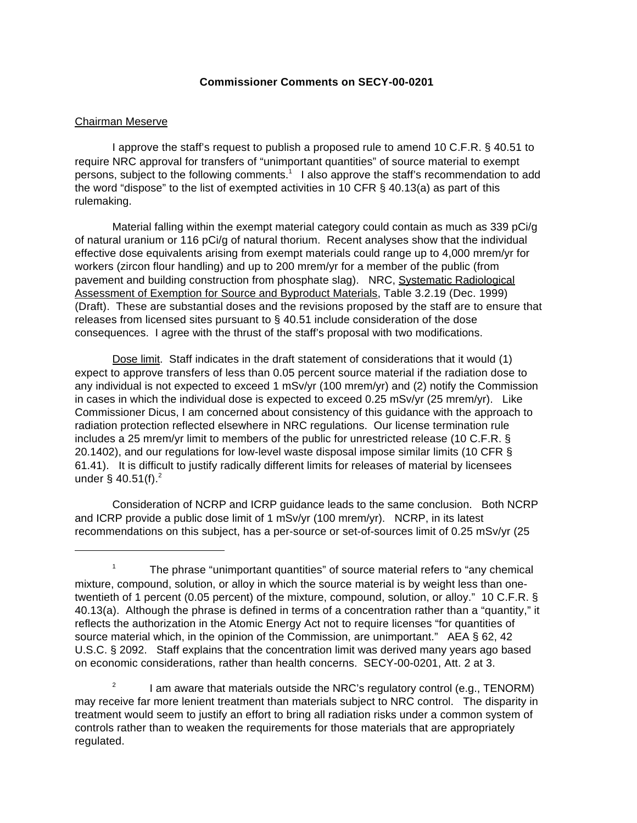#### **Commissioner Comments on SECY-00-0201**

#### Chairman Meserve

I approve the staff's request to publish a proposed rule to amend 10 C.F.R. § 40.51 to require NRC approval for transfers of "unimportant quantities" of source material to exempt persons, subject to the following comments.<sup>1</sup> I also approve the staff's recommendation to add the word "dispose" to the list of exempted activities in 10 CFR  $\S$  40.13(a) as part of this rulemaking.

Material falling within the exempt material category could contain as much as 339 pCi/g of natural uranium or 116 pCi/g of natural thorium. Recent analyses show that the individual effective dose equivalents arising from exempt materials could range up to 4,000 mrem/yr for workers (zircon flour handling) and up to 200 mrem/yr for a member of the public (from pavement and building construction from phosphate slag). NRC, Systematic Radiological Assessment of Exemption for Source and Byproduct Materials, Table 3.2.19 (Dec. 1999) (Draft). These are substantial doses and the revisions proposed by the staff are to ensure that releases from licensed sites pursuant to § 40.51 include consideration of the dose consequences. I agree with the thrust of the staff's proposal with two modifications.

Dose limit. Staff indicates in the draft statement of considerations that it would (1) expect to approve transfers of less than 0.05 percent source material if the radiation dose to any individual is not expected to exceed 1 mSv/yr (100 mrem/yr) and (2) notify the Commission in cases in which the individual dose is expected to exceed 0.25 mSv/yr (25 mrem/yr). Like Commissioner Dicus, I am concerned about consistency of this guidance with the approach to radiation protection reflected elsewhere in NRC regulations. Our license termination rule includes a 25 mrem/yr limit to members of the public for unrestricted release (10 C.F.R. § 20.1402), and our regulations for low-level waste disposal impose similar limits (10 CFR § 61.41). It is difficult to justify radically different limits for releases of material by licensees under  $\S$  40.51(f).<sup>2</sup>

Consideration of NCRP and ICRP guidance leads to the same conclusion. Both NCRP and ICRP provide a public dose limit of 1 mSv/yr (100 mrem/yr). NCRP, in its latest recommendations on this subject, has a per-source or set-of-sources limit of 0.25 mSv/yr (25

2 I am aware that materials outside the NRC's regulatory control (e.g., TENORM) may receive far more lenient treatment than materials subject to NRC control. The disparity in treatment would seem to justify an effort to bring all radiation risks under a common system of controls rather than to weaken the requirements for those materials that are appropriately regulated.

<sup>&</sup>lt;sup>1</sup> The phrase "unimportant quantities" of source material refers to "any chemical mixture, compound, solution, or alloy in which the source material is by weight less than onetwentieth of 1 percent (0.05 percent) of the mixture, compound, solution, or alloy." 10 C.F.R. § 40.13(a). Although the phrase is defined in terms of a concentration rather than a "quantity," it reflects the authorization in the Atomic Energy Act not to require licenses "for quantities of source material which, in the opinion of the Commission, are unimportant." AEA § 62, 42 U.S.C. § 2092. Staff explains that the concentration limit was derived many years ago based on economic considerations, rather than health concerns. SECY-00-0201, Att. 2 at 3.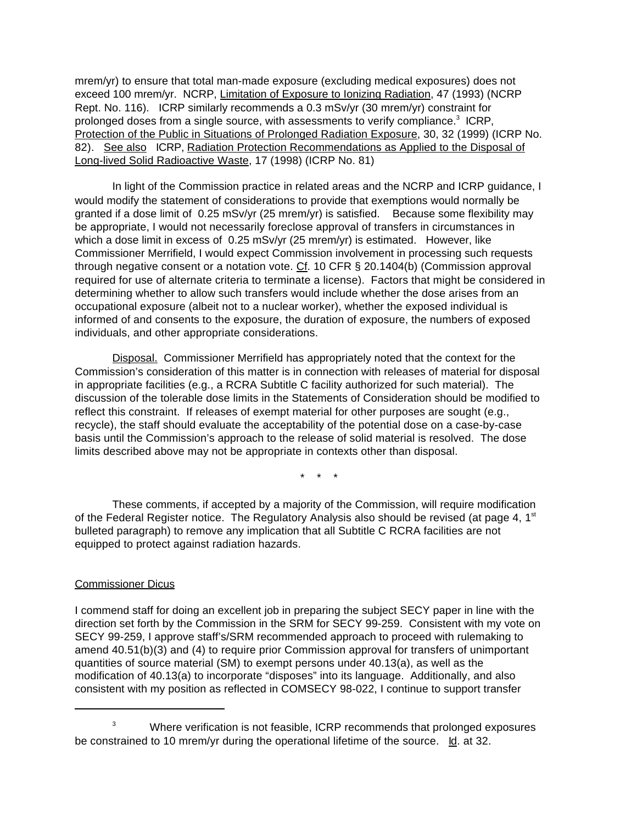mrem/yr) to ensure that total man-made exposure (excluding medical exposures) does not exceed 100 mrem/yr. NCRP, Limitation of Exposure to Ionizing Radiation, 47 (1993) (NCRP Rept. No. 116). ICRP similarly recommends a 0.3 mSv/yr (30 mrem/yr) constraint for prolonged doses from a single source, with assessments to verify compliance.<sup>3</sup> ICRP, Protection of the Public in Situations of Prolonged Radiation Exposure, 30, 32 (1999) (ICRP No. 82). See also ICRP, Radiation Protection Recommendations as Applied to the Disposal of Long-lived Solid Radioactive Waste, 17 (1998) (ICRP No. 81)

In light of the Commission practice in related areas and the NCRP and ICRP guidance, I would modify the statement of considerations to provide that exemptions would normally be granted if a dose limit of 0.25 mSv/yr (25 mrem/yr) is satisfied. Because some flexibility may be appropriate, I would not necessarily foreclose approval of transfers in circumstances in which a dose limit in excess of 0.25 mSv/yr (25 mrem/yr) is estimated. However, like Commissioner Merrifield, I would expect Commission involvement in processing such requests through negative consent or a notation vote.  $C_f$  10 CFR § 20.1404(b) (Commission approval required for use of alternate criteria to terminate a license). Factors that might be considered in determining whether to allow such transfers would include whether the dose arises from an occupational exposure (albeit not to a nuclear worker), whether the exposed individual is informed of and consents to the exposure, the duration of exposure, the numbers of exposed individuals, and other appropriate considerations.

Disposal. Commissioner Merrifield has appropriately noted that the context for the Commission's consideration of this matter is in connection with releases of material for disposal in appropriate facilities (e.g., a RCRA Subtitle C facility authorized for such material). The discussion of the tolerable dose limits in the Statements of Consideration should be modified to reflect this constraint. If releases of exempt material for other purposes are sought (e.g., recycle), the staff should evaluate the acceptability of the potential dose on a case-by-case basis until the Commission's approach to the release of solid material is resolved. The dose limits described above may not be appropriate in contexts other than disposal.

\* \* \*

These comments, if accepted by a majority of the Commission, will require modification of the Federal Register notice. The Regulatory Analysis also should be revised (at page 4,  $1<sup>st</sup>$ bulleted paragraph) to remove any implication that all Subtitle C RCRA facilities are not equipped to protect against radiation hazards.

#### Commissioner Dicus

I commend staff for doing an excellent job in preparing the subject SECY paper in line with the direction set forth by the Commission in the SRM for SECY 99-259. Consistent with my vote on SECY 99-259, I approve staff's/SRM recommended approach to proceed with rulemaking to amend 40.51(b)(3) and (4) to require prior Commission approval for transfers of unimportant quantities of source material (SM) to exempt persons under 40.13(a), as well as the modification of 40.13(a) to incorporate "disposes" into its language. Additionally, and also consistent with my position as reflected in COMSECY 98-022, I continue to support transfer

<sup>&</sup>lt;sup>3</sup> Where verification is not feasible, ICRP recommends that prolonged exposures be constrained to 10 mrem/yr during the operational lifetime of the source. Id. at 32.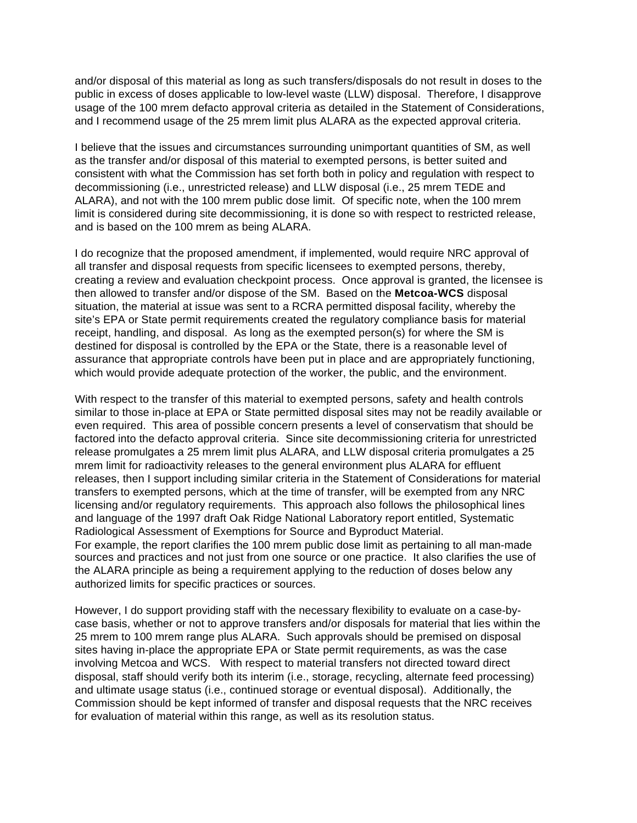and/or disposal of this material as long as such transfers/disposals do not result in doses to the public in excess of doses applicable to low-level waste (LLW) disposal. Therefore, I disapprove usage of the 100 mrem defacto approval criteria as detailed in the Statement of Considerations, and I recommend usage of the 25 mrem limit plus ALARA as the expected approval criteria.

I believe that the issues and circumstances surrounding unimportant quantities of SM, as well as the transfer and/or disposal of this material to exempted persons, is better suited and consistent with what the Commission has set forth both in policy and regulation with respect to decommissioning (i.e., unrestricted release) and LLW disposal (i.e., 25 mrem TEDE and ALARA), and not with the 100 mrem public dose limit. Of specific note, when the 100 mrem limit is considered during site decommissioning, it is done so with respect to restricted release, and is based on the 100 mrem as being ALARA.

I do recognize that the proposed amendment, if implemented, would require NRC approval of all transfer and disposal requests from specific licensees to exempted persons, thereby, creating a review and evaluation checkpoint process. Once approval is granted, the licensee is then allowed to transfer and/or dispose of the SM. Based on the **Metcoa-WCS** disposal situation, the material at issue was sent to a RCRA permitted disposal facility, whereby the site's EPA or State permit requirements created the regulatory compliance basis for material receipt, handling, and disposal. As long as the exempted person(s) for where the SM is destined for disposal is controlled by the EPA or the State, there is a reasonable level of assurance that appropriate controls have been put in place and are appropriately functioning, which would provide adequate protection of the worker, the public, and the environment.

With respect to the transfer of this material to exempted persons, safety and health controls similar to those in-place at EPA or State permitted disposal sites may not be readily available or even required. This area of possible concern presents a level of conservatism that should be factored into the defacto approval criteria. Since site decommissioning criteria for unrestricted release promulgates a 25 mrem limit plus ALARA, and LLW disposal criteria promulgates a 25 mrem limit for radioactivity releases to the general environment plus ALARA for effluent releases, then I support including similar criteria in the Statement of Considerations for material transfers to exempted persons, which at the time of transfer, will be exempted from any NRC licensing and/or regulatory requirements. This approach also follows the philosophical lines and language of the 1997 draft Oak Ridge National Laboratory report entitled, Systematic Radiological Assessment of Exemptions for Source and Byproduct Material. For example, the report clarifies the 100 mrem public dose limit as pertaining to all man-made sources and practices and not just from one source or one practice. It also clarifies the use of the ALARA principle as being a requirement applying to the reduction of doses below any authorized limits for specific practices or sources.

However, I do support providing staff with the necessary flexibility to evaluate on a case-bycase basis, whether or not to approve transfers and/or disposals for material that lies within the 25 mrem to 100 mrem range plus ALARA. Such approvals should be premised on disposal sites having in-place the appropriate EPA or State permit requirements, as was the case involving Metcoa and WCS. With respect to material transfers not directed toward direct disposal, staff should verify both its interim (i.e., storage, recycling, alternate feed processing) and ultimate usage status (i.e., continued storage or eventual disposal). Additionally, the Commission should be kept informed of transfer and disposal requests that the NRC receives for evaluation of material within this range, as well as its resolution status.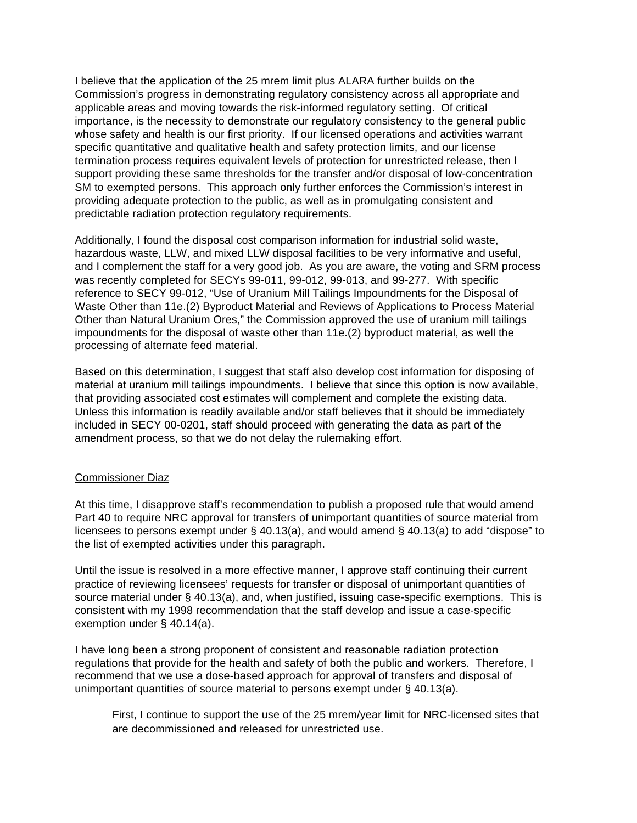I believe that the application of the 25 mrem limit plus ALARA further builds on the Commission's progress in demonstrating regulatory consistency across all appropriate and applicable areas and moving towards the risk-informed regulatory setting. Of critical importance, is the necessity to demonstrate our regulatory consistency to the general public whose safety and health is our first priority. If our licensed operations and activities warrant specific quantitative and qualitative health and safety protection limits, and our license termination process requires equivalent levels of protection for unrestricted release, then I support providing these same thresholds for the transfer and/or disposal of low-concentration SM to exempted persons. This approach only further enforces the Commission's interest in providing adequate protection to the public, as well as in promulgating consistent and predictable radiation protection regulatory requirements.

Additionally, I found the disposal cost comparison information for industrial solid waste, hazardous waste, LLW, and mixed LLW disposal facilities to be very informative and useful, and I complement the staff for a very good job. As you are aware, the voting and SRM process was recently completed for SECYs 99-011, 99-012, 99-013, and 99-277. With specific reference to SECY 99-012, "Use of Uranium Mill Tailings Impoundments for the Disposal of Waste Other than 11e.(2) Byproduct Material and Reviews of Applications to Process Material Other than Natural Uranium Ores," the Commission approved the use of uranium mill tailings impoundments for the disposal of waste other than 11e.(2) byproduct material, as well the processing of alternate feed material.

Based on this determination, I suggest that staff also develop cost information for disposing of material at uranium mill tailings impoundments. I believe that since this option is now available, that providing associated cost estimates will complement and complete the existing data. Unless this information is readily available and/or staff believes that it should be immediately included in SECY 00-0201, staff should proceed with generating the data as part of the amendment process, so that we do not delay the rulemaking effort.

#### Commissioner Diaz

At this time, I disapprove staff's recommendation to publish a proposed rule that would amend Part 40 to require NRC approval for transfers of unimportant quantities of source material from licensees to persons exempt under § 40.13(a), and would amend § 40.13(a) to add "dispose" to the list of exempted activities under this paragraph.

Until the issue is resolved in a more effective manner, I approve staff continuing their current practice of reviewing licensees' requests for transfer or disposal of unimportant quantities of source material under § 40.13(a), and, when justified, issuing case-specific exemptions. This is consistent with my 1998 recommendation that the staff develop and issue a case-specific exemption under § 40.14(a).

I have long been a strong proponent of consistent and reasonable radiation protection regulations that provide for the health and safety of both the public and workers. Therefore, I recommend that we use a dose-based approach for approval of transfers and disposal of unimportant quantities of source material to persons exempt under § 40.13(a).

First, I continue to support the use of the 25 mrem/year limit for NRC-licensed sites that are decommissioned and released for unrestricted use.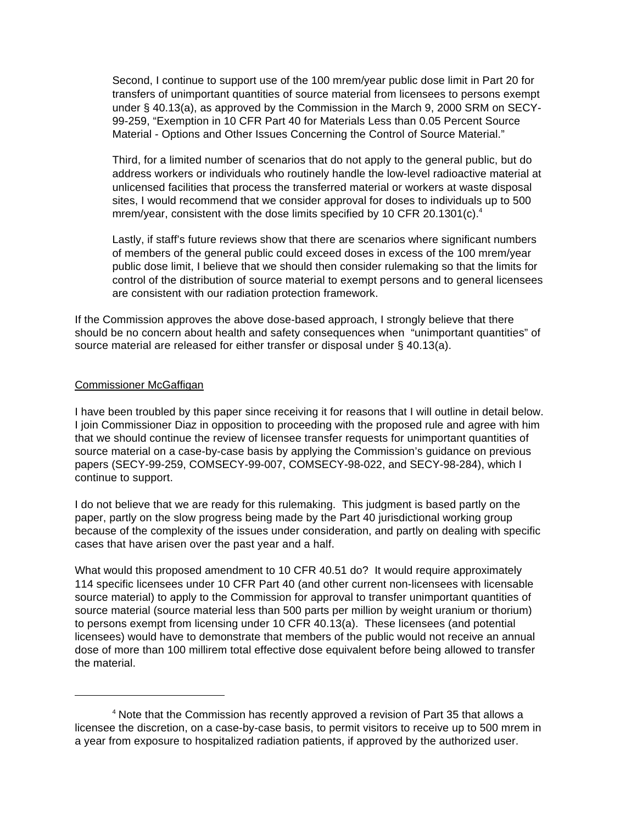Second, I continue to support use of the 100 mrem/year public dose limit in Part 20 for transfers of unimportant quantities of source material from licensees to persons exempt under § 40.13(a), as approved by the Commission in the March 9, 2000 SRM on SECY-99-259, "Exemption in 10 CFR Part 40 for Materials Less than 0.05 Percent Source Material - Options and Other Issues Concerning the Control of Source Material."

Third, for a limited number of scenarios that do not apply to the general public, but do address workers or individuals who routinely handle the low-level radioactive material at unlicensed facilities that process the transferred material or workers at waste disposal sites, I would recommend that we consider approval for doses to individuals up to 500 mrem/year, consistent with the dose limits specified by 10 CFR 20.1301(c).<sup>4</sup>

Lastly, if staff's future reviews show that there are scenarios where significant numbers of members of the general public could exceed doses in excess of the 100 mrem/year public dose limit, I believe that we should then consider rulemaking so that the limits for control of the distribution of source material to exempt persons and to general licensees are consistent with our radiation protection framework.

If the Commission approves the above dose-based approach, I strongly believe that there should be no concern about health and safety consequences when "unimportant quantities" of source material are released for either transfer or disposal under § 40.13(a).

#### Commissioner McGaffigan

I have been troubled by this paper since receiving it for reasons that I will outline in detail below. I join Commissioner Diaz in opposition to proceeding with the proposed rule and agree with him that we should continue the review of licensee transfer requests for unimportant quantities of source material on a case-by-case basis by applying the Commission's guidance on previous papers (SECY-99-259, COMSECY-99-007, COMSECY-98-022, and SECY-98-284), which I continue to support.

I do not believe that we are ready for this rulemaking. This judgment is based partly on the paper, partly on the slow progress being made by the Part 40 jurisdictional working group because of the complexity of the issues under consideration, and partly on dealing with specific cases that have arisen over the past year and a half.

What would this proposed amendment to 10 CFR 40.51 do? It would require approximately 114 specific licensees under 10 CFR Part 40 (and other current non-licensees with licensable source material) to apply to the Commission for approval to transfer unimportant quantities of source material (source material less than 500 parts per million by weight uranium or thorium) to persons exempt from licensing under 10 CFR 40.13(a). These licensees (and potential licensees) would have to demonstrate that members of the public would not receive an annual dose of more than 100 millirem total effective dose equivalent before being allowed to transfer the material.

<sup>&</sup>lt;sup>4</sup> Note that the Commission has recently approved a revision of Part 35 that allows a licensee the discretion, on a case-by-case basis, to permit visitors to receive up to 500 mrem in a year from exposure to hospitalized radiation patients, if approved by the authorized user.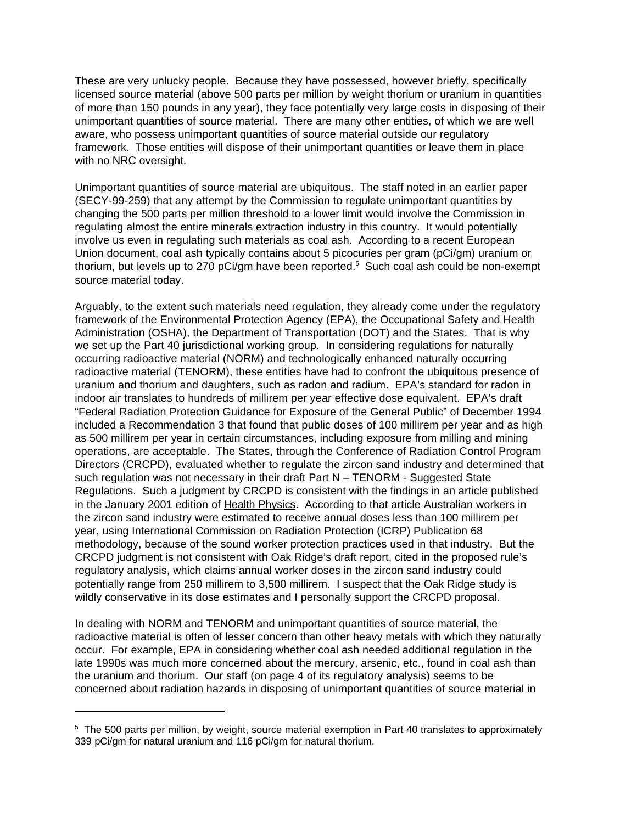These are very unlucky people. Because they have possessed, however briefly, specifically licensed source material (above 500 parts per million by weight thorium or uranium in quantities of more than 150 pounds in any year), they face potentially very large costs in disposing of their unimportant quantities of source material. There are many other entities, of which we are well aware, who possess unimportant quantities of source material outside our regulatory framework. Those entities will dispose of their unimportant quantities or leave them in place with no NRC oversight.

Unimportant quantities of source material are ubiquitous. The staff noted in an earlier paper (SECY-99-259) that any attempt by the Commission to regulate unimportant quantities by changing the 500 parts per million threshold to a lower limit would involve the Commission in regulating almost the entire minerals extraction industry in this country. It would potentially involve us even in regulating such materials as coal ash. According to a recent European Union document, coal ash typically contains about 5 picocuries per gram (pCi/gm) uranium or thorium, but levels up to 270 pCi/gm have been reported.<sup>5</sup> Such coal ash could be non-exempt source material today.

Arguably, to the extent such materials need regulation, they already come under the regulatory framework of the Environmental Protection Agency (EPA), the Occupational Safety and Health Administration (OSHA), the Department of Transportation (DOT) and the States. That is why we set up the Part 40 jurisdictional working group. In considering regulations for naturally occurring radioactive material (NORM) and technologically enhanced naturally occurring radioactive material (TENORM), these entities have had to confront the ubiquitous presence of uranium and thorium and daughters, such as radon and radium. EPA's standard for radon in indoor air translates to hundreds of millirem per year effective dose equivalent. EPA's draft "Federal Radiation Protection Guidance for Exposure of the General Public" of December 1994 included a Recommendation 3 that found that public doses of 100 millirem per year and as high as 500 millirem per year in certain circumstances, including exposure from milling and mining operations, are acceptable. The States, through the Conference of Radiation Control Program Directors (CRCPD), evaluated whether to regulate the zircon sand industry and determined that such regulation was not necessary in their draft Part N – TENORM - Suggested State Regulations. Such a judgment by CRCPD is consistent with the findings in an article published in the January 2001 edition of Health Physics. According to that article Australian workers in the zircon sand industry were estimated to receive annual doses less than 100 millirem per year, using International Commission on Radiation Protection (ICRP) Publication 68 methodology, because of the sound worker protection practices used in that industry. But the CRCPD judgment is not consistent with Oak Ridge's draft report, cited in the proposed rule's regulatory analysis, which claims annual worker doses in the zircon sand industry could potentially range from 250 millirem to 3,500 millirem. I suspect that the Oak Ridge study is wildly conservative in its dose estimates and I personally support the CRCPD proposal.

In dealing with NORM and TENORM and unimportant quantities of source material, the radioactive material is often of lesser concern than other heavy metals with which they naturally occur. For example, EPA in considering whether coal ash needed additional regulation in the late 1990s was much more concerned about the mercury, arsenic, etc., found in coal ash than the uranium and thorium. Our staff (on page 4 of its regulatory analysis) seems to be concerned about radiation hazards in disposing of unimportant quantities of source material in

<sup>&</sup>lt;sup>5</sup> The 500 parts per million, by weight, source material exemption in Part 40 translates to approximately 339 pCi/gm for natural uranium and 116 pCi/gm for natural thorium.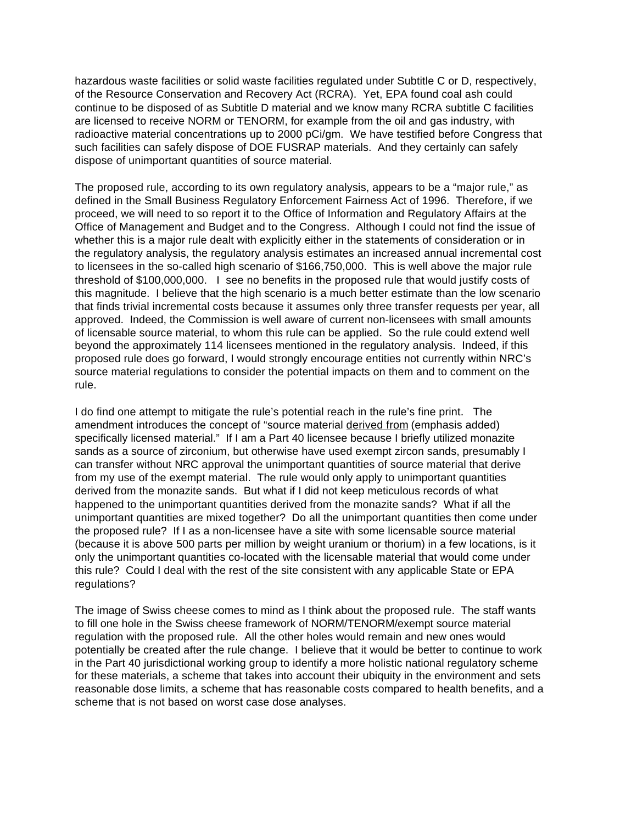hazardous waste facilities or solid waste facilities regulated under Subtitle C or D, respectively, of the Resource Conservation and Recovery Act (RCRA). Yet, EPA found coal ash could continue to be disposed of as Subtitle D material and we know many RCRA subtitle C facilities are licensed to receive NORM or TENORM, for example from the oil and gas industry, with radioactive material concentrations up to 2000 pCi/gm. We have testified before Congress that such facilities can safely dispose of DOE FUSRAP materials. And they certainly can safely dispose of unimportant quantities of source material.

The proposed rule, according to its own regulatory analysis, appears to be a "major rule," as defined in the Small Business Regulatory Enforcement Fairness Act of 1996. Therefore, if we proceed, we will need to so report it to the Office of Information and Regulatory Affairs at the Office of Management and Budget and to the Congress. Although I could not find the issue of whether this is a major rule dealt with explicitly either in the statements of consideration or in the regulatory analysis, the regulatory analysis estimates an increased annual incremental cost to licensees in the so-called high scenario of \$166,750,000. This is well above the major rule threshold of \$100,000,000. I see no benefits in the proposed rule that would justify costs of this magnitude. I believe that the high scenario is a much better estimate than the low scenario that finds trivial incremental costs because it assumes only three transfer requests per year, all approved. Indeed, the Commission is well aware of current non-licensees with small amounts of licensable source material, to whom this rule can be applied. So the rule could extend well beyond the approximately 114 licensees mentioned in the regulatory analysis. Indeed, if this proposed rule does go forward, I would strongly encourage entities not currently within NRC's source material regulations to consider the potential impacts on them and to comment on the rule.

I do find one attempt to mitigate the rule's potential reach in the rule's fine print. The amendment introduces the concept of "source material derived from (emphasis added) specifically licensed material." If I am a Part 40 licensee because I briefly utilized monazite sands as a source of zirconium, but otherwise have used exempt zircon sands, presumably I can transfer without NRC approval the unimportant quantities of source material that derive from my use of the exempt material. The rule would only apply to unimportant quantities derived from the monazite sands. But what if I did not keep meticulous records of what happened to the unimportant quantities derived from the monazite sands? What if all the unimportant quantities are mixed together? Do all the unimportant quantities then come under the proposed rule? If I as a non-licensee have a site with some licensable source material (because it is above 500 parts per million by weight uranium or thorium) in a few locations, is it only the unimportant quantities co-located with the licensable material that would come under this rule? Could I deal with the rest of the site consistent with any applicable State or EPA regulations?

The image of Swiss cheese comes to mind as I think about the proposed rule. The staff wants to fill one hole in the Swiss cheese framework of NORM/TENORM/exempt source material regulation with the proposed rule. All the other holes would remain and new ones would potentially be created after the rule change. I believe that it would be better to continue to work in the Part 40 jurisdictional working group to identify a more holistic national regulatory scheme for these materials, a scheme that takes into account their ubiquity in the environment and sets reasonable dose limits, a scheme that has reasonable costs compared to health benefits, and a scheme that is not based on worst case dose analyses.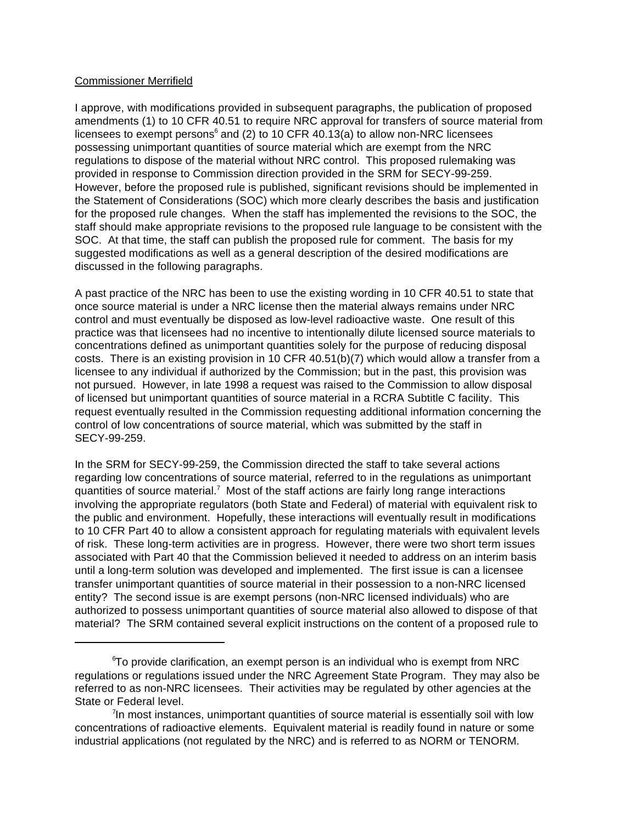#### Commissioner Merrifield

I approve, with modifications provided in subsequent paragraphs, the publication of proposed amendments (1) to 10 CFR 40.51 to require NRC approval for transfers of source material from licensees to exempt persons $^6$  and (2) to 10 CFR 40.13(a) to allow non-NRC licensees possessing unimportant quantities of source material which are exempt from the NRC regulations to dispose of the material without NRC control. This proposed rulemaking was provided in response to Commission direction provided in the SRM for SECY-99-259. However, before the proposed rule is published, significant revisions should be implemented in the Statement of Considerations (SOC) which more clearly describes the basis and justification for the proposed rule changes. When the staff has implemented the revisions to the SOC, the staff should make appropriate revisions to the proposed rule language to be consistent with the SOC. At that time, the staff can publish the proposed rule for comment. The basis for my suggested modifications as well as a general description of the desired modifications are discussed in the following paragraphs.

A past practice of the NRC has been to use the existing wording in 10 CFR 40.51 to state that once source material is under a NRC license then the material always remains under NRC control and must eventually be disposed as low-level radioactive waste. One result of this practice was that licensees had no incentive to intentionally dilute licensed source materials to concentrations defined as unimportant quantities solely for the purpose of reducing disposal costs. There is an existing provision in 10 CFR 40.51(b)(7) which would allow a transfer from a licensee to any individual if authorized by the Commission; but in the past, this provision was not pursued. However, in late 1998 a request was raised to the Commission to allow disposal of licensed but unimportant quantities of source material in a RCRA Subtitle C facility. This request eventually resulted in the Commission requesting additional information concerning the control of low concentrations of source material, which was submitted by the staff in SECY-99-259.

In the SRM for SECY-99-259, the Commission directed the staff to take several actions regarding low concentrations of source material, referred to in the regulations as unimportant quantities of source material.<sup>7</sup> Most of the staff actions are fairly long range interactions involving the appropriate regulators (both State and Federal) of material with equivalent risk to the public and environment. Hopefully, these interactions will eventually result in modifications to 10 CFR Part 40 to allow a consistent approach for regulating materials with equivalent levels of risk. These long-term activities are in progress. However, there were two short term issues associated with Part 40 that the Commission believed it needed to address on an interim basis until a long-term solution was developed and implemented. The first issue is can a licensee transfer unimportant quantities of source material in their possession to a non-NRC licensed entity? The second issue is are exempt persons (non-NRC licensed individuals) who are authorized to possess unimportant quantities of source material also allowed to dispose of that material? The SRM contained several explicit instructions on the content of a proposed rule to

 $\textdegree$ To provide clarification, an exempt person is an individual who is exempt from NRC regulations or regulations issued under the NRC Agreement State Program. They may also be referred to as non-NRC licensees. Their activities may be regulated by other agencies at the State or Federal level.

<sup>&</sup>lt;sup>7</sup>In most instances, unimportant quantities of source material is essentially soil with low concentrations of radioactive elements. Equivalent material is readily found in nature or some industrial applications (not regulated by the NRC) and is referred to as NORM or TENORM.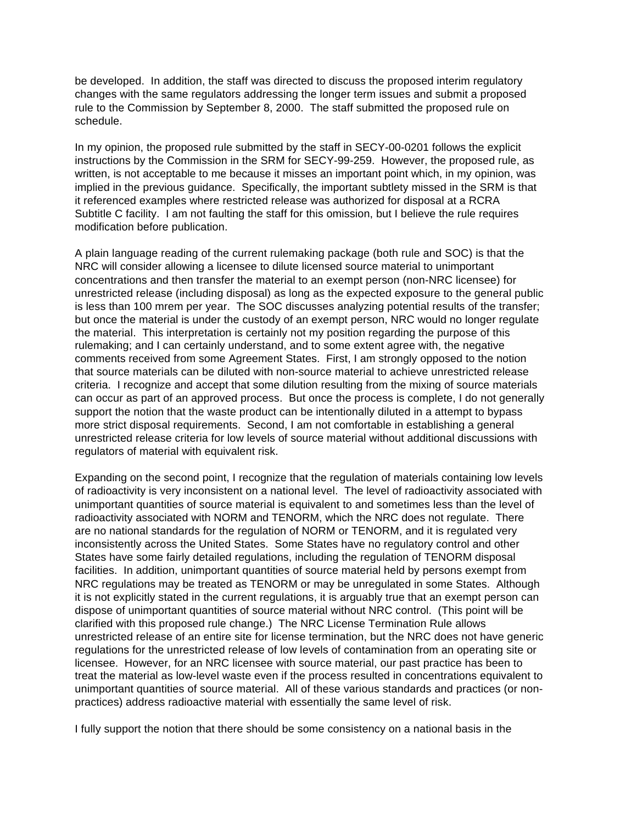be developed. In addition, the staff was directed to discuss the proposed interim regulatory changes with the same regulators addressing the longer term issues and submit a proposed rule to the Commission by September 8, 2000. The staff submitted the proposed rule on schedule.

In my opinion, the proposed rule submitted by the staff in SECY-00-0201 follows the explicit instructions by the Commission in the SRM for SECY-99-259. However, the proposed rule, as written, is not acceptable to me because it misses an important point which, in my opinion, was implied in the previous guidance. Specifically, the important subtlety missed in the SRM is that it referenced examples where restricted release was authorized for disposal at a RCRA Subtitle C facility. I am not faulting the staff for this omission, but I believe the rule requires modification before publication.

A plain language reading of the current rulemaking package (both rule and SOC) is that the NRC will consider allowing a licensee to dilute licensed source material to unimportant concentrations and then transfer the material to an exempt person (non-NRC licensee) for unrestricted release (including disposal) as long as the expected exposure to the general public is less than 100 mrem per year. The SOC discusses analyzing potential results of the transfer; but once the material is under the custody of an exempt person, NRC would no longer regulate the material. This interpretation is certainly not my position regarding the purpose of this rulemaking; and I can certainly understand, and to some extent agree with, the negative comments received from some Agreement States. First, I am strongly opposed to the notion that source materials can be diluted with non-source material to achieve unrestricted release criteria. I recognize and accept that some dilution resulting from the mixing of source materials can occur as part of an approved process. But once the process is complete, I do not generally support the notion that the waste product can be intentionally diluted in a attempt to bypass more strict disposal requirements. Second, I am not comfortable in establishing a general unrestricted release criteria for low levels of source material without additional discussions with regulators of material with equivalent risk.

Expanding on the second point, I recognize that the regulation of materials containing low levels of radioactivity is very inconsistent on a national level. The level of radioactivity associated with unimportant quantities of source material is equivalent to and sometimes less than the level of radioactivity associated with NORM and TENORM, which the NRC does not regulate. There are no national standards for the regulation of NORM or TENORM, and it is regulated very inconsistently across the United States. Some States have no regulatory control and other States have some fairly detailed regulations, including the regulation of TENORM disposal facilities. In addition, unimportant quantities of source material held by persons exempt from NRC regulations may be treated as TENORM or may be unregulated in some States. Although it is not explicitly stated in the current regulations, it is arguably true that an exempt person can dispose of unimportant quantities of source material without NRC control. (This point will be clarified with this proposed rule change.) The NRC License Termination Rule allows unrestricted release of an entire site for license termination, but the NRC does not have generic regulations for the unrestricted release of low levels of contamination from an operating site or licensee. However, for an NRC licensee with source material, our past practice has been to treat the material as low-level waste even if the process resulted in concentrations equivalent to unimportant quantities of source material. All of these various standards and practices (or nonpractices) address radioactive material with essentially the same level of risk.

I fully support the notion that there should be some consistency on a national basis in the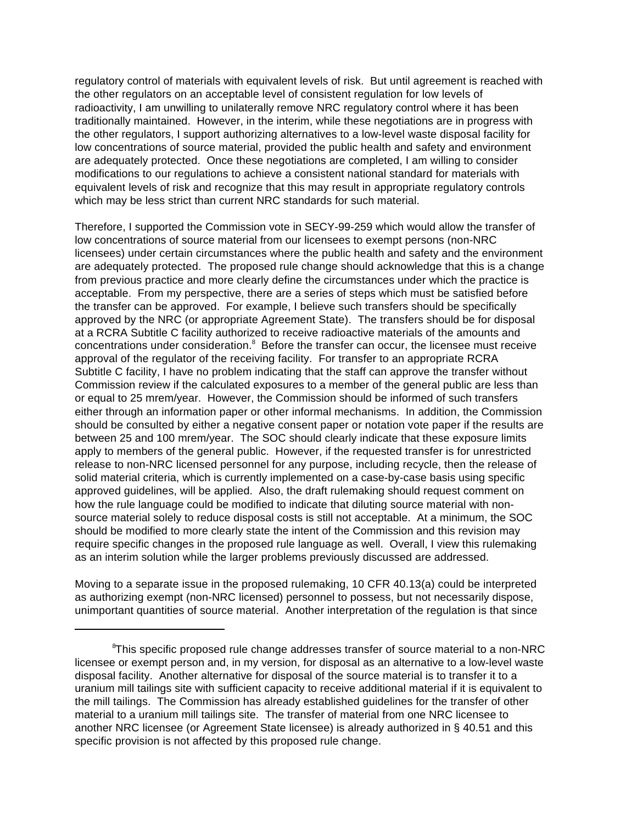regulatory control of materials with equivalent levels of risk. But until agreement is reached with the other regulators on an acceptable level of consistent regulation for low levels of radioactivity, I am unwilling to unilaterally remove NRC regulatory control where it has been traditionally maintained. However, in the interim, while these negotiations are in progress with the other regulators, I support authorizing alternatives to a low-level waste disposal facility for low concentrations of source material, provided the public health and safety and environment are adequately protected. Once these negotiations are completed, I am willing to consider modifications to our regulations to achieve a consistent national standard for materials with equivalent levels of risk and recognize that this may result in appropriate regulatory controls which may be less strict than current NRC standards for such material.

Therefore, I supported the Commission vote in SECY-99-259 which would allow the transfer of low concentrations of source material from our licensees to exempt persons (non-NRC licensees) under certain circumstances where the public health and safety and the environment are adequately protected. The proposed rule change should acknowledge that this is a change from previous practice and more clearly define the circumstances under which the practice is acceptable. From my perspective, there are a series of steps which must be satisfied before the transfer can be approved. For example, I believe such transfers should be specifically approved by the NRC (or appropriate Agreement State). The transfers should be for disposal at a RCRA Subtitle C facility authorized to receive radioactive materials of the amounts and concentrations under consideration.<sup>8</sup> Before the transfer can occur, the licensee must receive approval of the regulator of the receiving facility. For transfer to an appropriate RCRA Subtitle C facility, I have no problem indicating that the staff can approve the transfer without Commission review if the calculated exposures to a member of the general public are less than or equal to 25 mrem/year. However, the Commission should be informed of such transfers either through an information paper or other informal mechanisms. In addition, the Commission should be consulted by either a negative consent paper or notation vote paper if the results are between 25 and 100 mrem/year. The SOC should clearly indicate that these exposure limits apply to members of the general public. However, if the requested transfer is for unrestricted release to non-NRC licensed personnel for any purpose, including recycle, then the release of solid material criteria, which is currently implemented on a case-by-case basis using specific approved guidelines, will be applied. Also, the draft rulemaking should request comment on how the rule language could be modified to indicate that diluting source material with nonsource material solely to reduce disposal costs is still not acceptable. At a minimum, the SOC should be modified to more clearly state the intent of the Commission and this revision may require specific changes in the proposed rule language as well. Overall, I view this rulemaking as an interim solution while the larger problems previously discussed are addressed.

Moving to a separate issue in the proposed rulemaking, 10 CFR 40.13(a) could be interpreted as authorizing exempt (non-NRC licensed) personnel to possess, but not necessarily dispose, unimportant quantities of source material. Another interpretation of the regulation is that since

<sup>&</sup>lt;sup>8</sup>This specific proposed rule change addresses transfer of source material to a non-NRC licensee or exempt person and, in my version, for disposal as an alternative to a low-level waste disposal facility. Another alternative for disposal of the source material is to transfer it to a uranium mill tailings site with sufficient capacity to receive additional material if it is equivalent to the mill tailings. The Commission has already established guidelines for the transfer of other material to a uranium mill tailings site. The transfer of material from one NRC licensee to another NRC licensee (or Agreement State licensee) is already authorized in § 40.51 and this specific provision is not affected by this proposed rule change.